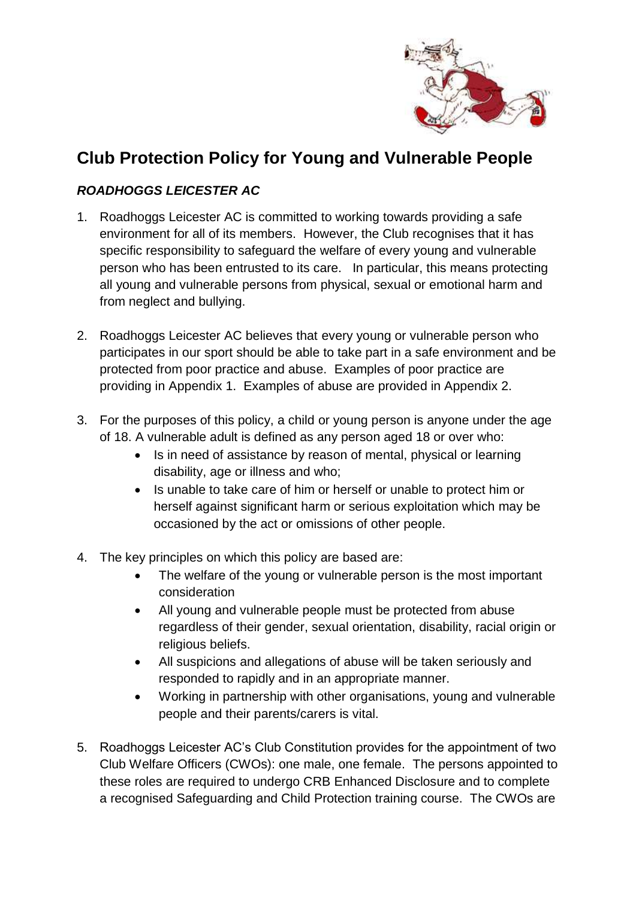

# **Club Protection Policy for Young and Vulnerable People**

# *ROADHOGGS LEICESTER AC*

- 1. Roadhoggs Leicester AC is committed to working towards providing a safe environment for all of its members. However, the Club recognises that it has specific responsibility to safeguard the welfare of every young and vulnerable person who has been entrusted to its care. In particular, this means protecting all young and vulnerable persons from physical, sexual or emotional harm and from neglect and bullying.
- 2. Roadhoggs Leicester AC believes that every young or vulnerable person who participates in our sport should be able to take part in a safe environment and be protected from poor practice and abuse. Examples of poor practice are providing in Appendix 1. Examples of abuse are provided in Appendix 2.
- 3. For the purposes of this policy, a child or young person is anyone under the age of 18. A vulnerable adult is defined as any person aged 18 or over who:
	- Is in need of assistance by reason of mental, physical or learning disability, age or illness and who;
	- Is unable to take care of him or herself or unable to protect him or herself against significant harm or serious exploitation which may be occasioned by the act or omissions of other people.
- 4. The key principles on which this policy are based are:
	- The welfare of the young or vulnerable person is the most important consideration
	- All young and vulnerable people must be protected from abuse regardless of their gender, sexual orientation, disability, racial origin or religious beliefs.
	- All suspicions and allegations of abuse will be taken seriously and responded to rapidly and in an appropriate manner.
	- Working in partnership with other organisations, young and vulnerable people and their parents/carers is vital.
- 5. Roadhoggs Leicester AC's Club Constitution provides for the appointment of two Club Welfare Officers (CWOs): one male, one female. The persons appointed to these roles are required to undergo CRB Enhanced Disclosure and to complete a recognised Safeguarding and Child Protection training course. The CWOs are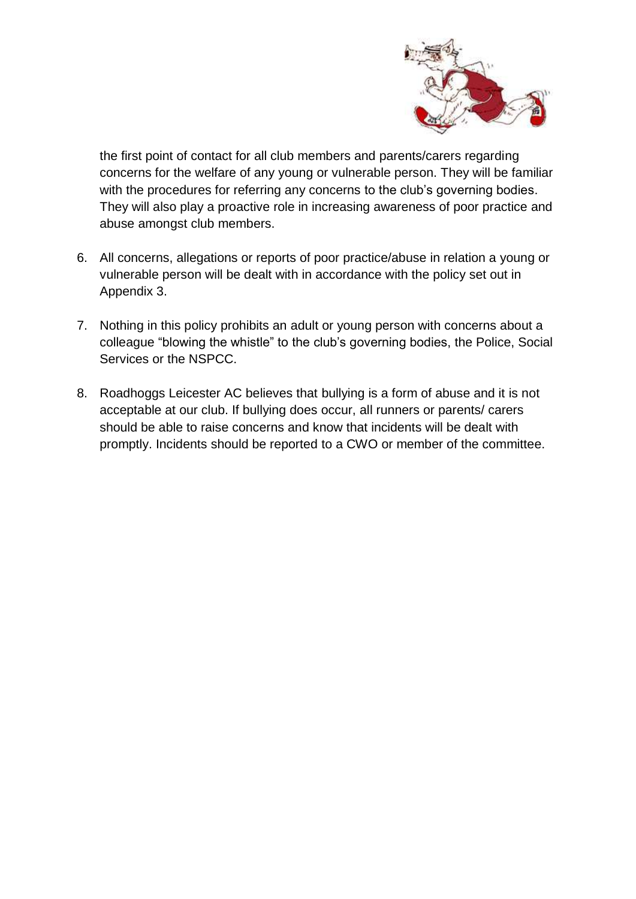

the first point of contact for all club members and parents/carers regarding concerns for the welfare of any young or vulnerable person. They will be familiar with the procedures for referring any concerns to the club's governing bodies. They will also play a proactive role in increasing awareness of poor practice and abuse amongst club members.

- 6. All concerns, allegations or reports of poor practice/abuse in relation a young or vulnerable person will be dealt with in accordance with the policy set out in Appendix 3.
- 7. Nothing in this policy prohibits an adult or young person with concerns about a colleague "blowing the whistle" to the club's governing bodies, the Police, Social Services or the NSPCC.
- 8. Roadhoggs Leicester AC believes that bullying is a form of abuse and it is not acceptable at our club. If bullying does occur, all runners or parents/ carers should be able to raise concerns and know that incidents will be dealt with promptly. Incidents should be reported to a CWO or member of the committee.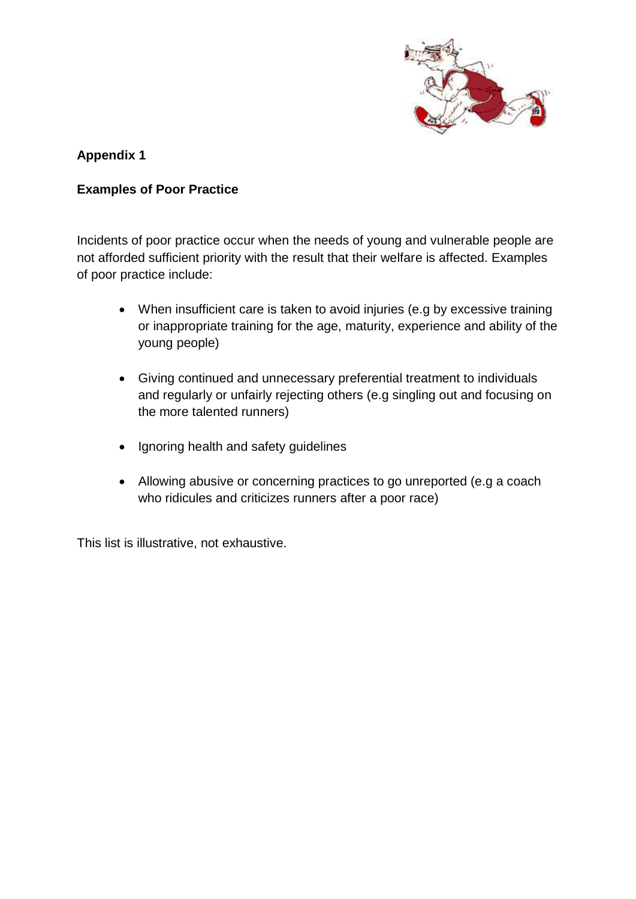

### **Appendix 1**

#### **Examples of Poor Practice**

Incidents of poor practice occur when the needs of young and vulnerable people are not afforded sufficient priority with the result that their welfare is affected. Examples of poor practice include:

- When insufficient care is taken to avoid injuries (e.g by excessive training or inappropriate training for the age, maturity, experience and ability of the young people)
- Giving continued and unnecessary preferential treatment to individuals and regularly or unfairly rejecting others (e.g singling out and focusing on the more talented runners)
- Ignoring health and safety guidelines
- Allowing abusive or concerning practices to go unreported (e.g a coach who ridicules and criticizes runners after a poor race)

This list is illustrative, not exhaustive.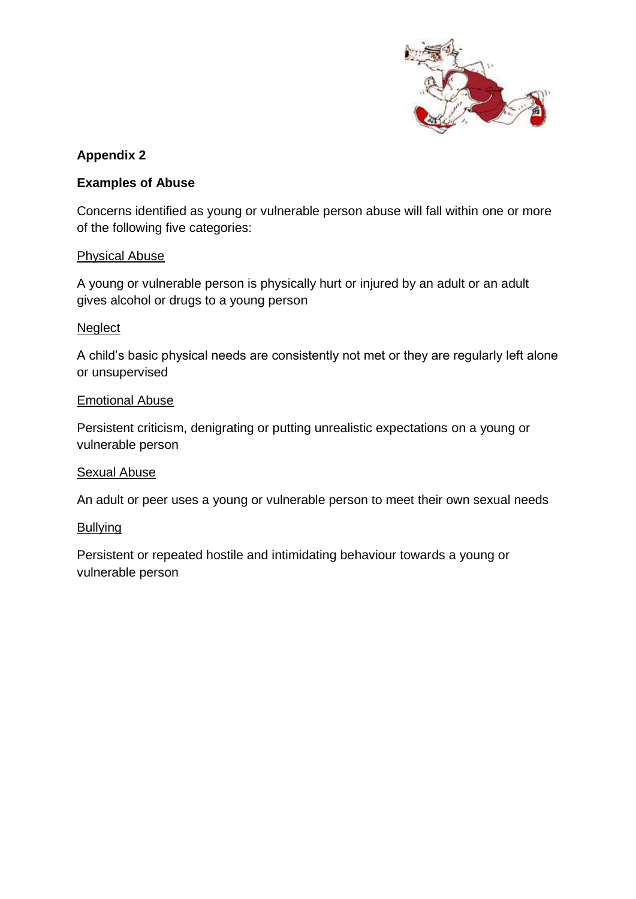

## **Appendix 2**

#### **Examples of Abuse**

Concerns identified as young or vulnerable person abuse will fall within one or more of the following five categories:

#### Physical Abuse

A young or vulnerable person is physically hurt or injured by an adult or an adult gives alcohol or drugs to a young person

#### **Neglect**

A child's basic physical needs are consistently not met or they are regularly left alone or unsupervised

#### Emotional Abuse

Persistent criticism, denigrating or putting unrealistic expectations on a young or vulnerable person

#### Sexual Abuse

An adult or peer uses a young or vulnerable person to meet their own sexual needs

#### **Bullying**

Persistent or repeated hostile and intimidating behaviour towards a young or vulnerable person